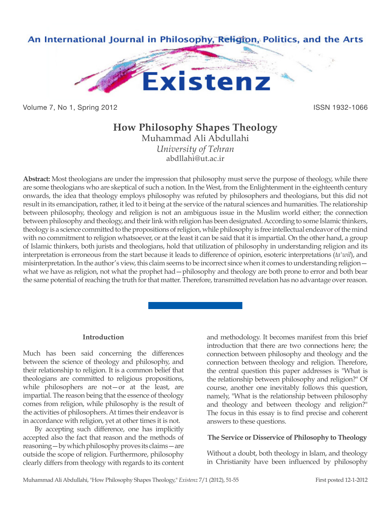

Volume 7, No 1, Spring 2012 **ISSN 1932-1066** 

# **How Philosophy Shapes Theology** Muhammad Ali Abdullahi

*University of Tehran* abdllahi@ut.ac.ir

**Abstract:** Most theologians are under the impression that philosophy must serve the purpose of theology, while there are some theologians who are skeptical of such a notion. In the West, from the Enlightenment in the eighteenth century onwards, the idea that theology employs philosophy was refuted by philosophers and theologians, but this did not result in its emancipation, rather, it led to it being at the service of the natural sciences and humanities. The relationship between philosophy, theology and religion is not an ambiguous issue in the Muslim world either; the connection between philosophy and theology, and their link with religion has been designated. According to some Islamic thinkers, theology is a science committed to the propositions of religion, while philosophy is free intellectual endeavor of the mind with no commitment to religion whatsoever, or at the least it can be said that it is impartial. On the other hand, a group of Islamic thinkers, both jurists and theologians, hold that utilization of philosophy in understanding religion and its interpretation is erroneous from the start because it leads to difference of opinion, esoteric interpretations (*ta'wil*), and misinterpretation. In the author's view, this claim seems to be incorrect since when it comes to understanding religion what we have as religion, not what the prophet had – philosophy and theology are both prone to error and both bear the same potential of reaching the truth for that matter. Therefore, transmitted revelation has no advantage over reason.

# **Introduction**

Much has been said concerning the differences between the science of theology and philosophy, and their relationship to religion. It is a common belief that theologians are committed to religious propositions, while philosophers are not—or at the least, are impartial. The reason being that the essence of theology comes from religion, while philosophy is the result of the activities of philosophers. At times their endeavor is in accordance with religion, yet at other times it is not.

By accepting such difference, one has implicitly accepted also the fact that reason and the methods of reasoning—by which philosophy proves its claims—are outside the scope of religion. Furthermore, philosophy clearly differs from theology with regards to its content and methodology. It becomes manifest from this brief introduction that there are two connections here; the connection between philosophy and theology and the connection between theology and religion. Therefore, the central question this paper addresses is "What is the relationship between philosophy and religion?" Of course, another one inevitably follows this question, namely, "What is the relationship between philosophy and theology and between theology and religion?" The focus in this essay is to find precise and coherent answers to these questions.

# **The Service or Disservice of Philosophy to Theology**

Without a doubt, both theology in Islam, and theology in Christianity have been influenced by philosophy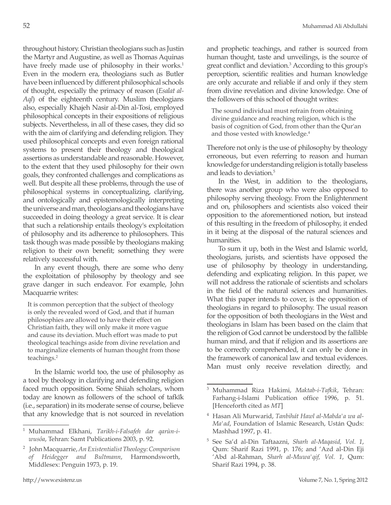throughout history. Christian theologians such as Justin the Martyr and Augustine, as well as Thomas Aquinas have freely made use of philosophy in their works.<sup>1</sup> Even in the modern era, theologians such as Butler have been influenced by different philosophical schools of thought, especially the primacy of reason (*Esalat al-Aql*) of the eighteenth century. Muslim theologians also, especially Khajeh Nasir al-Din al-Tosi, employed philosophical concepts in their expositions of religious subjects. Nevertheless, in all of these cases, they did so with the aim of clarifying and defending religion. They used philosophical concepts and even foreign rational systems to present their theology and theological assertions as understandable and reasonable. However, to the extent that they used philosophy for their own goals, they confronted challenges and complications as well. But despite all these problems, through the use of philosophical systems in conceptualizing, clarifying, and ontologically and epistemologically interpreting the universe and man, theologians and theologians have succeeded in doing theology a great service. It is clear that such a relationship entails theology's exploitation of philosophy and its adherence to philosophers. This task though was made possible by theologians making religion to their own benefit; something they were relatively successful with.

In any event though, there are some who deny the exploitation of philosophy by theology and see grave danger in such endeavor. For example, John Macquarrie writes:

It is common perception that the subject of theology is only the revealed word of God, and that if human philosophies are allowed to have their effect on Christian faith, they will only make it more vague and cause its deviation. Much effort was made to put theological teachings aside from divine revelation and to marginalize elements of human thought from those teachings.2

In the Islamic world too, the use of philosophy as a tool by theology in clarifying and defending religion faced much opposition. Some Shiiah scholars, whom today are known as followers of the school of tafkīk (i.e., separation) in its moderate sense of course, believe that any knowledge that is not sourced in revelation and prophetic teachings, and rather is sourced from human thought, taste and unveilings, is the source of great conflict and deviation.<sup>3</sup> According to this group's perception, scientific realities and human knowledge are only accurate and reliable if and only if they stem from divine revelation and divine knowledge. One of the followers of this school of thought writes:

The sound individual must refrain from obtaining divine guidance and reaching religion, which is the basis of cognition of God, from other than the Qur'an and those vested with knowledge.<sup>4</sup>

Therefore not only is the use of philosophy by theology erroneous, but even referring to reason and human knowledge for understanding religion is totally baseless and leads to deviation.<sup>5</sup>

In the West, in addition to the theologians, there was another group who were also opposed to philosophy serving theology. From the Enlightenment and on, philosophers and scientists also voiced their opposition to the aforementioned notion, but instead of this resulting in the freedom of philosophy, it ended in it being at the disposal of the natural sciences and humanities.

To sum it up, both in the West and Islamic world, theologians, jurists, and scientists have opposed the use of philosophy by theology in understanding, defending and explicating religion. In this paper, we will not address the rationale of scientists and scholars in the field of the natural sciences and humanities. What this paper intends to cover, is the opposition of theologians in regard to philosophy. The usual reason for the opposition of both theologians in the West and theologians in Islam has been based on the claim that the religion of God cannot be understood by the fallible human mind, and that if religion and its assertions are to be correctly comprehended, it can only be done in the framework of canonical law and textual evidences. Man must only receive revelation directly, and

<sup>1</sup> Muhammad Elkhani, *Tarikh-i-Falsafeh dar qarùn-iwusôa*, Tehran: Samt Publications 2003, p. 92.

<sup>2</sup> John Macquarrie, *An Existentialist Theology: Comparison of Heidegger and Bultmann*, Harmondsworth, Middlesex: Penguin 1973, p. 19.

<sup>3</sup> Muhammad Riza Hakimi, *Maktab-i-Tafkik*, Tehran: Farhang-i-Islami Publication office 1996, p. 51. [Henceforth cited as *MT*]

<sup>4</sup> Hasan Ali Murwarid, *Tanbihát Hawl al-Mabda'a wa al-Ma'ad*, Foundation of Islamic Research, Ustán Quds: Mashhad 1997, p. 41.

<sup>5</sup> See Sa'd al-Din Taftaazni, *Sharh al-Maqasid, Vol. 1*, Qum: Sharif Razi 1991, p. 176; and 'Azd al-Din Eji 'Abd al-Rahman, *Sharh al-Muwa'qif, Vol. 1*, Qum: Sharif Razi 1994, p. 38.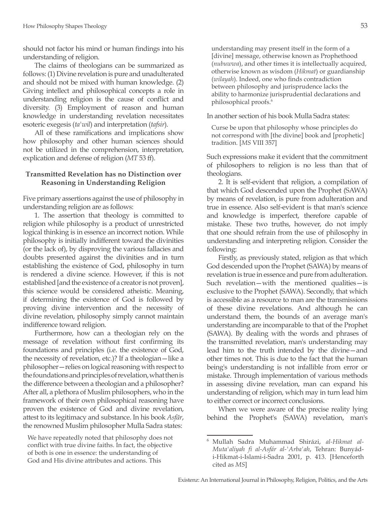should not factor his mind or human findings into his understanding of religion.

The claims of theologians can be summarized as follows: (1) Divine revelation is pure and unadulterated and should not be mixed with human knowledge. (2) Giving intellect and philosophical concepts a role in understanding religion is the cause of conflict and diversity. (3) Employment of reason and human knowledge in understanding revelation necessitates esoteric exegesis (*ta'wil*) and interpretation (*tafsir*).

All of these ramifications and implications show how philosophy and other human sciences should not be utilized in the comprehension, interpretation, explication and defense of religion (*MT* 53 ff).

# **Transmitted Revelation has no Distinction over Reasoning in Understanding Religion**

Five primary assertions against the use of philosophy in understanding religion are as follows:

1. The assertion that theology is committed to religion while philosophy is a product of unrestricted logical thinking is in essence an incorrect notion. While philosophy is initially indifferent toward the divinities (or the lack of), by disproving the various fallacies and doubts presented against the divinities and in turn establishing the existence of God, philosophy in turn is rendered a divine science. However, if this is not established [and the existence of a creator is not proven], this science would be considered atheistic. Meaning, if determining the existence of God is followed by proving divine intervention and the necessity of divine revelation, philosophy simply cannot maintain indifference toward religion.

Furthermore, how can a theologian rely on the message of revelation without first confirming its foundations and principles (i.e. the existence of God, the necessity of revelation, etc.)? If a theologian—like a philosopher—relies on logical reasoning with respect to the foundations and principles of revelation, what then is the difference between a theologian and a philosopher? After all, a plethora of Muslim philosophers, who in the framework of their own philosophical reasoning have proven the existence of God and divine revelation, attest to its legitimacy and substance. In his book *Asfār*, the renowned Muslim philosopher Mulla Sadra states:

understanding may present itself in the form of a [divine] message, otherwise known as Prophethood (*nubuwwa*), and other times it is intellectually acquired, otherwise known as wisdom (*Hikmat*) or guardianship (*wilayah*). Indeed, one who finds contradiction between philosophy and jurisprudence lacks the ability to harmonize jurisprudential declarations and philosophical proofs.<sup>6</sup>

In another section of his book Mulla Sadra states:

Curse be upon that philosophy whose principles do not correspond with [the divine] book and [prophetic] tradition. [*MS* VIII 357]

Such expressions make it evident that the commitment of philosophers to religion is no less than that of theologians.

2. It is self-evident that religion, a compilation of that which God descended upon the Prophet (SAWA) by means of revelation, is pure from adulteration and true in essence. Also self-evident is that man's science and knowledge is imperfect, therefore capable of mistake. These two truths, however, do not imply that one should refrain from the use of philosophy in understanding and interpreting religion. Consider the following:

Firstly, as previously stated, religion as that which God descended upon the Prophet (SAWA) by means of revelation is true in essence and pure from adulteration. Such revelation—with the mentioned qualities—is exclusive to the Prophet (SAWA). Secondly, that which is accessible as a resource to man are the transmissions of these divine revelations. And although he can understand them, the bounds of an average man's understanding are incomparable to that of the Prophet (SAWA). By dealing with the words and phrases of the transmitted revelation, man's understanding may lead him to the truth intended by the divine—and other times not. This is due to the fact that the human being's understanding is not infallible from error or mistake. Through implementation of various methods in assessing divine revelation, man can expand his understanding of religion, which may in turn lead him to either correct or incorrect conclusions.

When we were aware of the precise reality lying behind the Prophet's (SAWA) revelation, man's

We have repeatedly noted that philosophy does not conflict with true divine faiths. In fact, the objective of both is one in essence: the understanding of God and His divine attributes and actions. This

<sup>6</sup> Mullah Sadra Muhammad Shirázi, *al-Hikmat al-Muta'aliyah fi al-Asfár al-'Arba'ah*, Tehran: Bunyádi-Hikmat-i-Islami-i-Sadra 2001, p. 413. [Henceforth cited as *MS*]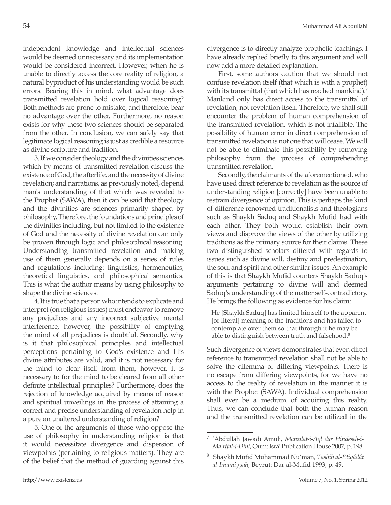independent knowledge and intellectual sciences would be deemed unnecessary and its implementation would be considered incorrect. However, when he is unable to directly access the core reality of religion, a natural byproduct of his understanding would be such errors. Bearing this in mind, what advantage does transmitted revelation hold over logical reasoning? Both methods are prone to mistake, and therefore, bear no advantage over the other. Furthermore, no reason exists for why these two sciences should be separated from the other. In conclusion, we can safely say that legitimate logical reasoning is just as credible a resource as divine scripture and tradition.

3. If we consider theology and the divinities sciences which by means of transmitted revelation discuss the existence of God, the afterlife, and the necessity of divine revelation; and narrations, as previously noted, depend man's understanding of that which was revealed to the Prophet (SAWA), then it can be said that theology and the divinities are sciences primarily shaped by philosophy. Therefore, the foundations and principles of the divinities including, but not limited to the existence of God and the necessity of divine revelation can only be proven through logic and philosophical reasoning. Understanding transmitted revelation and making use of them generally depends on a series of rules and regulations including: linguistics, hermeneutics, theoretical linguistics, and philosophical semantics. This is what the author means by using philosophy to shape the divine sciences.

4. It is true that a person who intends to explicate and interpret (on religious issues) must endeavor to remove any prejudices and any incorrect subjective mental interference, however, the possibility of emptying the mind of all prejudices is doubtful. Secondly, why is it that philosophical principles and intellectual perceptions pertaining to God's existence and His divine attributes are valid, and it is not necessary for the mind to clear itself from them, however, it is necessary to for the mind to be cleared from all other definite intellectual principles? Furthermore, does the rejection of knowledge acquired by means of reason and spiritual unveilings in the process of attaining a correct and precise understanding of revelation help in a pure an unaltered understanding of religion?

5. One of the arguments of those who oppose the use of philosophy in understanding religion is that it would necessitate divergence and dispersion of viewpoints (pertaining to religious matters). They are of the belief that the method of guarding against this divergence is to directly analyze prophetic teachings. I have already replied briefly to this argument and will now add a more detailed explanation.

First, some authors caution that we should not confuse revelation itself (that which is with a prophet) with its transmittal (that which has reached mankind).<sup>7</sup> Mankind only has direct access to the transmittal of revelation, not revelation itself. Therefore, we shall still encounter the problem of human comprehension of the transmitted revelation, which is not infallible. The possibility of human error in direct comprehension of transmitted revelation is not one that will cease. We will not be able to eliminate this possibility by removing philosophy from the process of comprehending transmitted revelation.

Secondly, the claimants of the aforementioned, who have used direct reference to revelation as the source of understanding religion [correctly] have been unable to restrain divergence of opinion. This is perhaps the kind of difference renowned traditionalists and theologians such as Shaykh Saduq and Shaykh Mufid had with each other. They both would establish their own views and disprove the views of the other by utilizing traditions as the primary source for their claims. These two distinguished scholars differed with regards to issues such as divine will, destiny and predestination, the soul and spirit and other similar issues. An example of this is that Shaykh Mufid counters Shaykh Saduq's arguments pertaining to divine will and deemed Saduq's understanding of the matter self-contradictory. He brings the following as evidence for his claim:

He [Shaykh Saduq] has limited himself to the apparent [or literal] meaning of the traditions and has failed to contemplate over them so that through it he may be able to distinguish between truth and falsehood.<sup>8</sup>

Such divergence of views demonstrates that even direct reference to transmitted revelation shall not be able to solve the dilemma of differing viewpoints. There is no escape from differing viewpoints, for we have no access to the reality of revelation in the manner it is with the Prophet (SAWA). Individual comprehension shall ever be a medium of acquiring this reality. Thus, we can conclude that both the human reason and the transmitted revelation can be utilized in the

<sup>7</sup> 'Abdullah Jawadi Amuli, *Manzilat-i-Aql dar Hindeseh-i-Ma'rifat-i-Dini*, Qum: Isrá' Publication House 2007, p. 198.

<sup>8</sup> Shaykh Mufid Muhammad Nu'man, *Tashih al-Etiqádát al-Imamiyyah*, Beyrut: Dar al-Mufid 1993, p. 49.